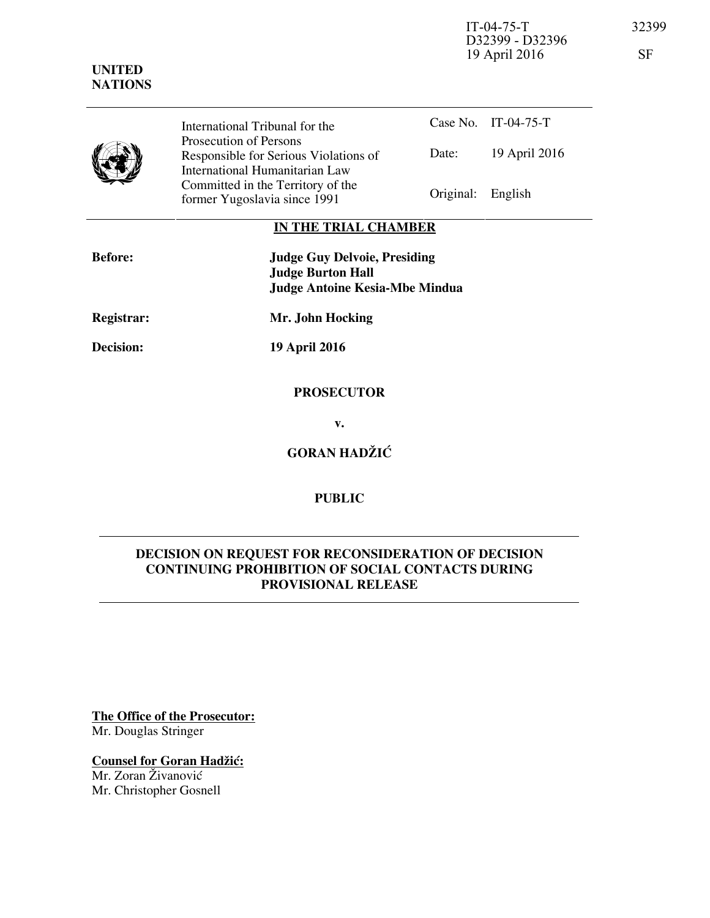IT-04-75-T 32399 D32399 - D32396 19 April 2016 SF

Case No. IT-04-75-T Date: 19 April 2016 International Tribunal for the Prosecution of Persons Responsible for Serious Violations of International Humanitarian Law Committed in the Territory of the Former Yugoslavia since 1991 Original: English

## **IN THE TRIAL CHAMBER**

| <b>Before:</b>   | <b>Judge Guy Delvoie, Presiding</b><br><b>Judge Burton Hall</b><br><b>Judge Antoine Kesia-Mbe Mindua</b> |
|------------------|----------------------------------------------------------------------------------------------------------|
| Registrar:       | Mr. John Hocking                                                                                         |
| <b>Decision:</b> | <b>19 April 2016</b>                                                                                     |
|                  |                                                                                                          |

**v.** 

 **PROSECUTOR** 

**GORAN HADŽIĆ** 

## **PUBLIC**

## **DECISION ON REQUEST FOR RECONSIDERATION OF DECISION CONTINUING PROHIBITION OF SOCIAL CONTACTS DURING PROVISIONAL RELEASE**

**The Office of the Prosecutor:** Mr. Douglas Stringer

**Counsel for Goran Hadžić:** 

Mr. Zoran Živanović Mr. Christopher Gosnell

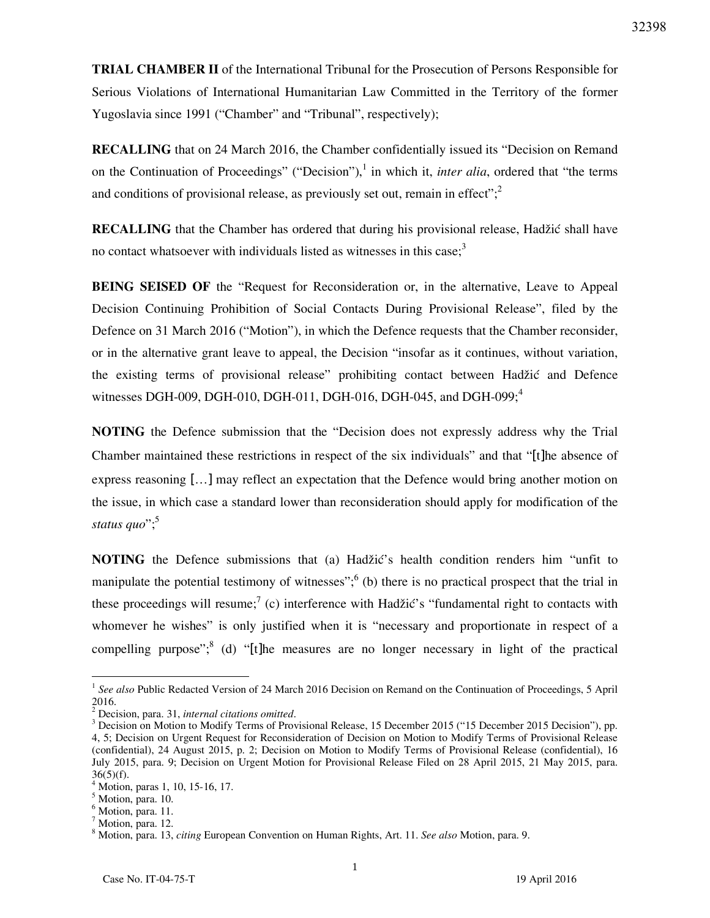**TRIAL CHAMBER II** of the International Tribunal for the Prosecution of Persons Responsible for Serious Violations of International Humanitarian Law Committed in the Territory of the former Yugoslavia since 1991 ("Chamber" and "Tribunal", respectively);

**RECALLING** that on 24 March 2016, the Chamber confidentially issued its "Decision on Remand on the Continuation of Proceedings" ("Decision"),<sup>1</sup> in which it, *inter alia*, ordered that "the terms and conditions of provisional release, as previously set out, remain in effect";  $\frac{2}{3}$ 

**RECALLING** that the Chamber has ordered that during his provisional release, Hadžić shall have no contact whatsoever with individuals listed as witnesses in this case;<sup>3</sup>

**BEING SEISED OF** the "Request for Reconsideration or, in the alternative, Leave to Appeal Decision Continuing Prohibition of Social Contacts During Provisional Release", filed by the Defence on 31 March 2016 ("Motion"), in which the Defence requests that the Chamber reconsider, or in the alternative grant leave to appeal, the Decision "insofar as it continues, without variation, the existing terms of provisional release" prohibiting contact between Hadžić and Defence witnesses DGH-009, DGH-010, DGH-011, DGH-016, DGH-045, and DGH-099;<sup>4</sup>

**NOTING** the Defence submission that the "Decision does not expressly address why the Trial Chamber maintained these restrictions in respect of the six individuals" and that "[t]he absence of express reasoning […] may reflect an expectation that the Defence would bring another motion on the issue, in which case a standard lower than reconsideration should apply for modification of the status quo";<sup>5</sup>

**NOTING** the Defence submissions that (a) Hadžić's health condition renders him "unfit to manipulate the potential testimony of witnesses";  $<sup>6</sup>$  (b) there is no practical prospect that the trial in</sup> these proceedings will resume;<sup>7</sup> (c) interference with Hadžić's "fundamental right to contacts with whomever he wishes" is only justified when it is "necessary and proportionate in respect of a compelling purpose";<sup>8</sup> (d) "[t]he measures are no longer necessary in light of the practical

 $\overline{a}$ 

<sup>&</sup>lt;sup>1</sup> See also Public Redacted Version of 24 March 2016 Decision on Remand on the Continuation of Proceedings, 5 April 2016.

<sup>2</sup> Decision, para. 31, *internal citations omitted*.

<sup>&</sup>lt;sup>3</sup> Decision on Motion to Modify Terms of Provisional Release, 15 December 2015 ("15 December 2015 Decision"), pp. 4, 5; Decision on Urgent Request for Reconsideration of Decision on Motion to Modify Terms of Provisional Release (confidential), 24 August 2015, p. 2; Decision on Motion to Modify Terms of Provisional Release (confidential), 16 July 2015, para. 9; Decision on Urgent Motion for Provisional Release Filed on 28 April 2015, 21 May 2015, para.  $36(5)(f)$ .

<sup>4</sup> Motion, paras 1, 10, 15-16, 17.

<sup>5</sup> Motion, para. 10.

<sup>&</sup>lt;sup>6</sup> Motion, para. 11.

<sup>&</sup>lt;sup>7</sup> Motion, para. 12.

<sup>8</sup> Motion, para. 13, *citing* European Convention on Human Rights, Art. 11. *See also* Motion, para. 9.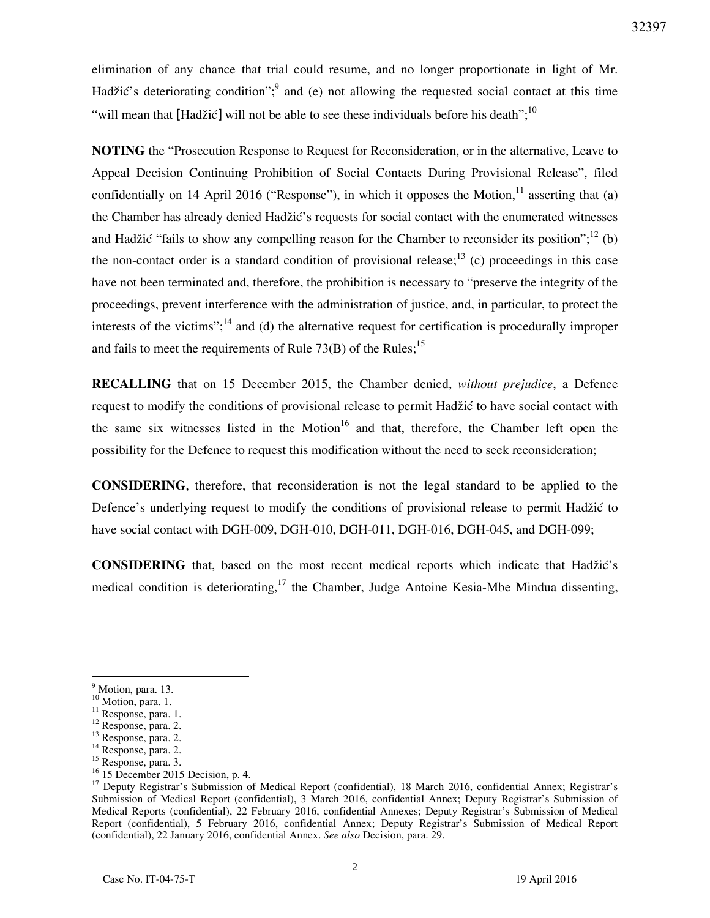elimination of any chance that trial could resume, and no longer proportionate in light of Mr. Hadžić's deteriorating condition"; and (e) not allowing the requested social contact at this time "will mean that [Hadžić] will not be able to see these individuals before his death";  $^{10}$ 

**NOTING** the "Prosecution Response to Request for Reconsideration, or in the alternative, Leave to Appeal Decision Continuing Prohibition of Social Contacts During Provisional Release", filed confidentially on 14 April 2016 ("Response"), in which it opposes the Motion, <sup>11</sup> asserting that (a) the Chamber has already denied Hadžić's requests for social contact with the enumerated witnesses and Hadžić "fails to show any compelling reason for the Chamber to reconsider its position";<sup>12</sup> (b) the non-contact order is a standard condition of provisional release;<sup>13</sup> (c) proceedings in this case have not been terminated and, therefore, the prohibition is necessary to "preserve the integrity of the proceedings, prevent interference with the administration of justice, and, in particular, to protect the interests of the victims";<sup>14</sup> and (d) the alternative request for certification is procedurally improper and fails to meet the requirements of Rule 73(B) of the Rules;<sup>15</sup>

**RECALLING** that on 15 December 2015, the Chamber denied, *without prejudice*, a Defence request to modify the conditions of provisional release to permit Hadžić to have social contact with the same six witnesses listed in the Motion<sup>16</sup> and that, therefore, the Chamber left open the possibility for the Defence to request this modification without the need to seek reconsideration;

**CONSIDERING**, therefore, that reconsideration is not the legal standard to be applied to the Defence's underlying request to modify the conditions of provisional release to permit Hadžić to have social contact with DGH-009, DGH-010, DGH-011, DGH-016, DGH-045, and DGH-099;

**CONSIDERING** that, based on the most recent medical reports which indicate that Hadžić's medical condition is deteriorating,<sup>17</sup> the Chamber, Judge Antoine Kesia-Mbe Mindua dissenting,

 $\overline{a}$ 

 $16 \overline{15}$  December 2015 Decision, p. 4.

<sup>&</sup>lt;sup>9</sup> Motion, para. 13.

<sup>&</sup>lt;sup>10</sup> Motion, para. 1.

<sup>&</sup>lt;sup>11</sup> Response, para. 1.

<sup>12</sup> Response, para. 2.

<sup>13</sup> Response, para. 2.

<sup>&</sup>lt;sup>14</sup> Response, para. 2.

<sup>15</sup> Response, para. 3.

<sup>&</sup>lt;sup>17</sup> Deputy Registrar's Submission of Medical Report (confidential), 18 March 2016, confidential Annex; Registrar's Submission of Medical Report (confidential), 3 March 2016, confidential Annex; Deputy Registrar's Submission of Medical Reports (confidential), 22 February 2016, confidential Annexes; Deputy Registrar's Submission of Medical Report (confidential), 5 February 2016, confidential Annex; Deputy Registrar's Submission of Medical Report (confidential), 22 January 2016, confidential Annex. *See also* Decision, para. 29.